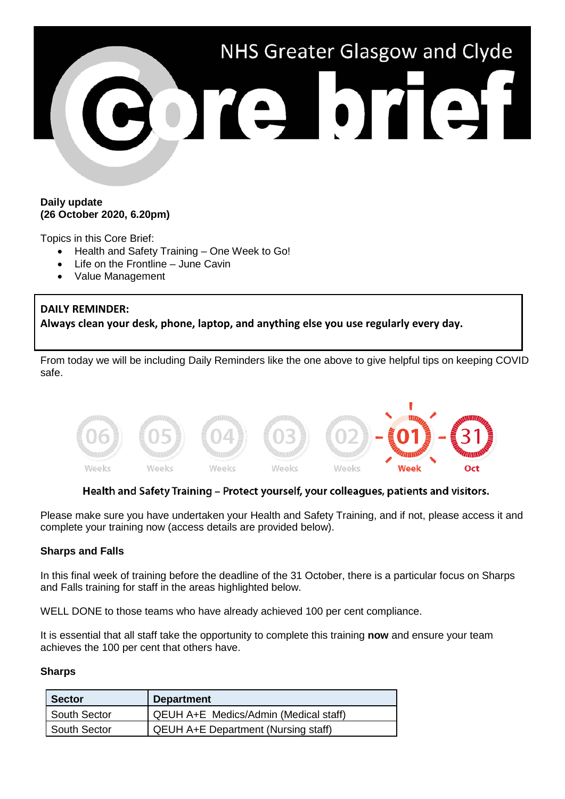

#### **Daily update (26 October 2020, 6.20pm)**

Topics in this Core Brief:

- Health and Safety Training One Week to Go!
- Life on the Frontline June Cavin
- Value Management

# **DAILY REMINDER:**

**Always clean your desk, phone, laptop, and anything else you use regularly every day.**

From today we will be including Daily Reminders like the one above to give helpful tips on keeping COVID safe.



# Health and Safety Training - Protect yourself, your colleagues, patients and visitors.

Please make sure you have undertaken your Health and Safety Training, and if not, please access it and complete your training now (access details are provided below).

#### **Sharps and Falls**

In this final week of training before the deadline of the 31 October, there is a particular focus on Sharps and Falls training for staff in the areas highlighted below.

WELL DONE to those teams who have already achieved 100 per cent compliance.

It is essential that all staff take the opportunity to complete this training **now** and ensure your team achieves the 100 per cent that others have.

#### **Sharps**

| <b>Sector</b> | <b>Department</b>                          |
|---------------|--------------------------------------------|
| South Sector  | QEUH A+E Medics/Admin (Medical staff)      |
| South Sector  | <b>QEUH A+E Department (Nursing staff)</b> |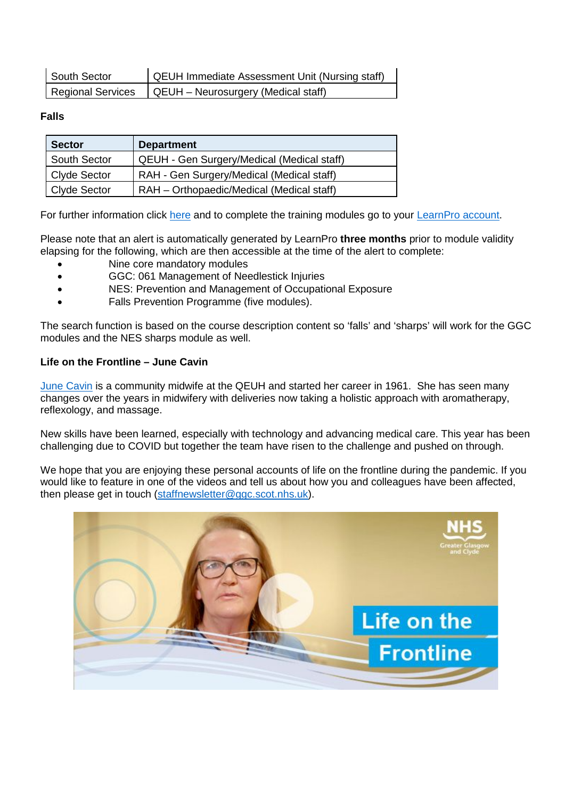| South Sector | QEUH Immediate Assessment Unit (Nursing staff)          |
|--------------|---------------------------------------------------------|
|              | Regional Services   QEUH - Neurosurgery (Medical staff) |

# **Falls**

| <b>Sector</b>       | <b>Department</b>                          |
|---------------------|--------------------------------------------|
| South Sector        | QEUH - Gen Surgery/Medical (Medical staff) |
| <b>Clyde Sector</b> | RAH - Gen Surgery/Medical (Medical staff)  |
| <b>Clyde Sector</b> | RAH - Orthopaedic/Medical (Medical staff)  |

For further information click [here](https://www.nhsggc.org.uk/working-with-us/hr-connect/health-safety/training-and-education/health-safety-training/) and to complete the training modules go to your [LearnPro account.](http://nhs.learnprouk.com/)

Please note that an alert is automatically generated by LearnPro **three months** prior to module validity elapsing for the following, which are then accessible at the time of the alert to complete:

- Nine core mandatory modules
- GGC: 061 Management of Needlestick Injuries
- NES: Prevention and Management of Occupational Exposure
- Falls Prevention Programme (five modules).

The search function is based on the course description content so 'falls' and 'sharps' will work for the GGC modules and the NES sharps module as well.

# **Life on the Frontline – June Cavin**

[June Cavin](https://www.youtube.com/watch?v=JjKoiFQR9TE) is a community midwife at the QEUH and started her career in 1961. She has seen many changes over the years in midwifery with deliveries now taking a holistic approach with aromatherapy, reflexology, and massage.

New skills have been learned, especially with technology and advancing medical care. This year has been challenging due to COVID but together the team have risen to the challenge and pushed on through.

We hope that you are enjoying these personal accounts of life on the frontline during the pandemic. If you would like to feature in one of the videos and tell us about how you and colleagues have been affected, then please get in touch [\(staffnewsletter@ggc.scot.nhs.uk\)](mailto:staffnewsletter@ggc.scot.nhs.uk).